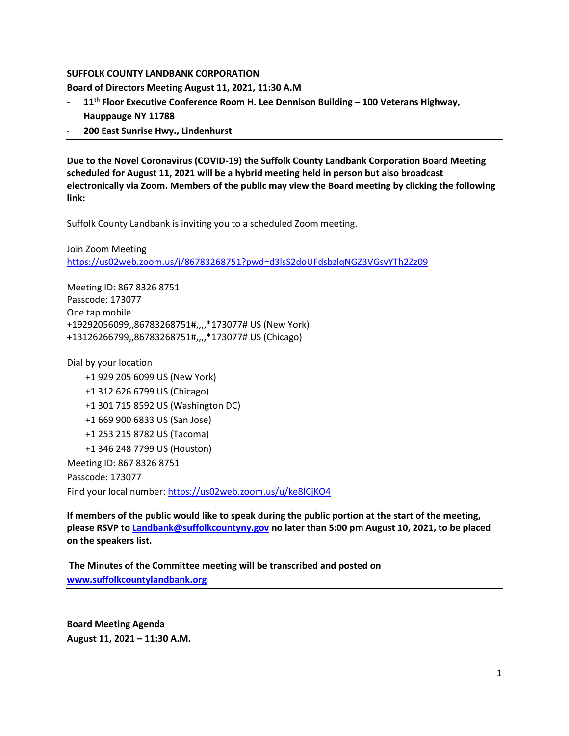### **SUFFOLK COUNTY LANDBANK CORPORATION**

**Board of Directors Meeting August 11, 2021, 11:30 A.M**

- **11th Floor Executive Conference Room H. Lee Dennison Building – 100 Veterans Highway, Hauppauge NY 11788**
- **200 East Sunrise Hwy., Lindenhurst**

**Due to the Novel Coronavirus (COVID-19) the Suffolk County Landbank Corporation Board Meeting scheduled for August 11, 2021 will be a hybrid meeting held in person but also broadcast electronically via Zoom. Members of the public may view the Board meeting by clicking the following link:**

Suffolk County Landbank is inviting you to a scheduled Zoom meeting.

Join Zoom Meeting <https://us02web.zoom.us/j/86783268751?pwd=d3lsS2doUFdsbzlqNGZ3VGsvYTh2Zz09>

Meeting ID: 867 8326 8751 Passcode: 173077 One tap mobile +19292056099,,86783268751#,,,,\*173077# US (New York) +13126266799,,86783268751#,,,,\*173077# US (Chicago)

Dial by your location

 +1 929 205 6099 US (New York) +1 312 626 6799 US (Chicago) +1 301 715 8592 US (Washington DC) +1 669 900 6833 US (San Jose) +1 253 215 8782 US (Tacoma) +1 346 248 7799 US (Houston) Meeting ID: 867 8326 8751 Passcode: 173077 Find your local number[: https://us02web.zoom.us/u/ke8lCjKO4](https://us02web.zoom.us/u/ke8lCjKO4)

**If members of the public would like to speak during the public portion at the start of the meeting, please RSVP to [Landbank@suffolkcountyny.gov](mailto:Landbank@suffolkcountyny.gov) no later than 5:00 pm August 10, 2021, to be placed on the speakers list.** 

**The Minutes of the Committee meeting will be transcribed and posted on [www.suffolkcountylandbank.org](http://www.suffolkcountylandbank.org/)**

**Board Meeting Agenda August 11, 2021 – 11:30 A.M.**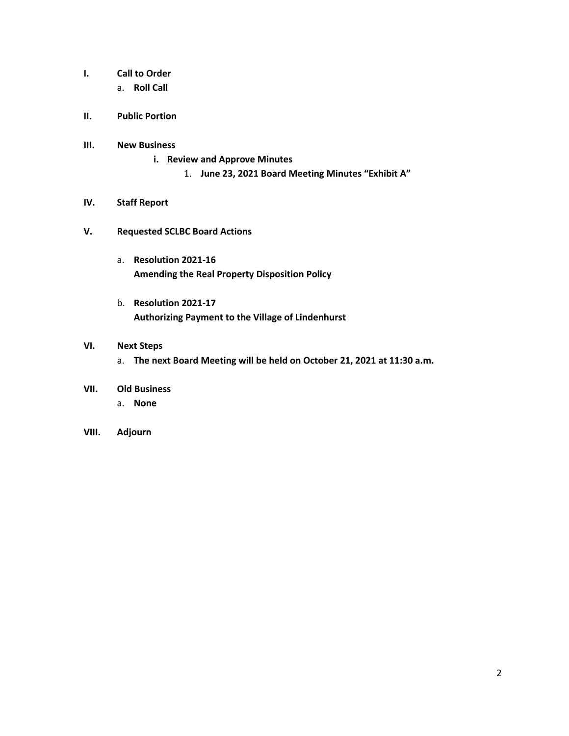- **I. Call to Order** 
	- a. **Roll Call**
- **II. Public Portion**

### **III. New Business**

- **i. Review and Approve Minutes**
	- 1. **June 23, 2021 Board Meeting Minutes "Exhibit A"**

### **IV. Staff Report**

- **V. Requested SCLBC Board Actions** 
	- a. **Resolution 2021-16 Amending the Real Property Disposition Policy**
	- b. **Resolution 2021-17 Authorizing Payment to the Village of Lindenhurst**

# **VI. Next Steps**

- a. **The next Board Meeting will be held on October 21, 2021 at 11:30 a.m.**
- **VII. Old Business**
	- a. **None**
- **VIII. Adjourn**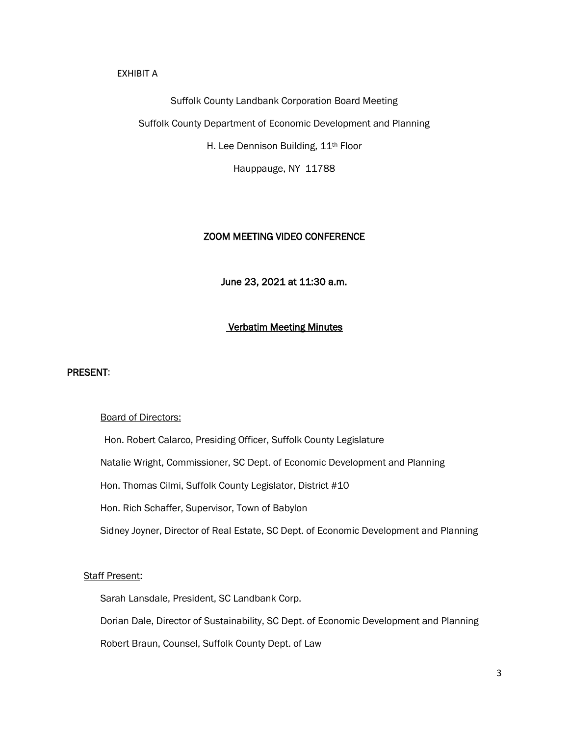#### EXHIBIT A

#### Suffolk County Landbank Corporation Board Meeting

Suffolk County Department of Economic Development and Planning

H. Lee Dennison Building, 11<sup>th</sup> Floor

Hauppauge, NY 11788

# ZOOM MEETING VIDEO CONFERENCE

June 23, 2021 at 11:30 a.m.

# Verbatim Meeting Minutes

#### PRESENT:

#### Board of Directors:

 Hon. Robert Calarco, Presiding Officer, Suffolk County Legislature Natalie Wright, Commissioner, SC Dept. of Economic Development and Planning Hon. Thomas Cilmi, Suffolk County Legislator, District #10 Hon. Rich Schaffer, Supervisor, Town of Babylon Sidney Joyner, Director of Real Estate, SC Dept. of Economic Development and Planning

# Staff Present:

Sarah Lansdale, President, SC Landbank Corp.

Dorian Dale, Director of Sustainability, SC Dept. of Economic Development and Planning

Robert Braun, Counsel, Suffolk County Dept. of Law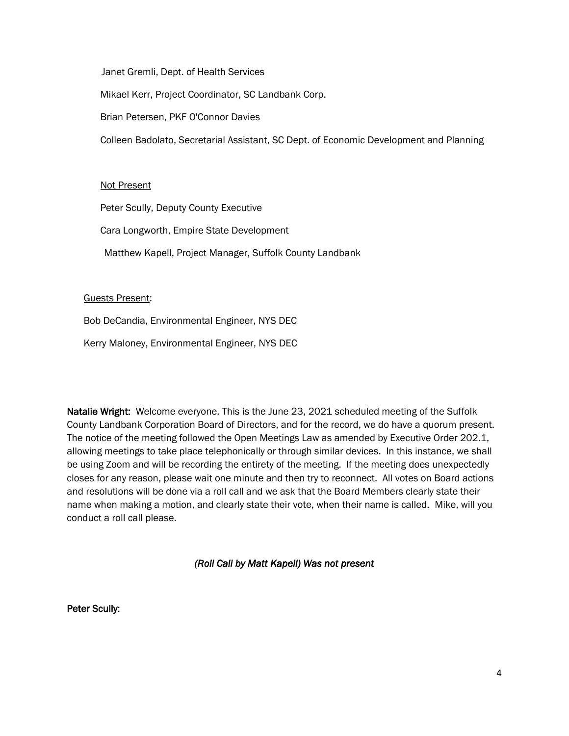Janet Gremli, Dept. of Health Services

Mikael Kerr, Project Coordinator, SC Landbank Corp.

Brian Petersen, PKF O'Connor Davies

Colleen Badolato, Secretarial Assistant, SC Dept. of Economic Development and Planning

# Not Present

Peter Scully, Deputy County Executive

Cara Longworth, Empire State Development

Matthew Kapell, Project Manager, Suffolk County Landbank

# Guests Present:

Bob DeCandia, Environmental Engineer, NYS DEC

Kerry Maloney, Environmental Engineer, NYS DEC

Natalie Wright: Welcome everyone. This is the June 23, 2021 scheduled meeting of the Suffolk County Landbank Corporation Board of Directors, and for the record, we do have a quorum present. The notice of the meeting followed the Open Meetings Law as amended by Executive Order 202.1, allowing meetings to take place telephonically or through similar devices. In this instance, we shall be using Zoom and will be recording the entirety of the meeting. If the meeting does unexpectedly closes for any reason, please wait one minute and then try to reconnect. All votes on Board actions and resolutions will be done via a roll call and we ask that the Board Members clearly state their name when making a motion, and clearly state their vote, when their name is called. Mike, will you conduct a roll call please.

# *(Roll Call by Matt Kapell) Was not present*

Peter Scully: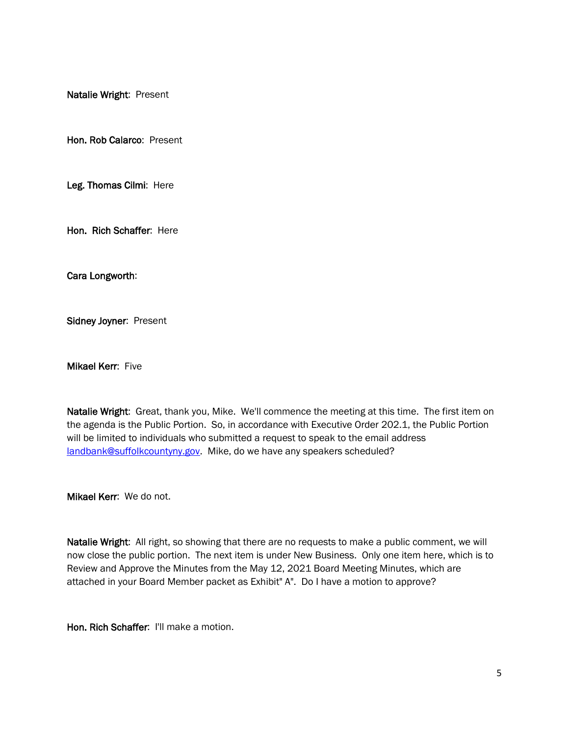Natalie Wright: Present

Hon. Rob Calarco: Present

Leg. Thomas Cilmi: Here

Hon. Rich Schaffer: Here

Cara Longworth:

Sidney Joyner: Present

Mikael Kerr: Five

Natalie Wright: Great, thank you, Mike. We'll commence the meeting at this time. The first item on the agenda is the Public Portion. So, in accordance with Executive Order 202.1, the Public Portion will be limited to individuals who submitted a request to speak to the email address [landbank@suffolkcountyny.gov.](mailto:landbank@suffolkcountyny.gov) Mike, do we have any speakers scheduled?

Mikael Kerr: We do not.

Natalie Wright: All right, so showing that there are no requests to make a public comment, we will now close the public portion. The next item is under New Business. Only one item here, which is to Review and Approve the Minutes from the May 12, 2021 Board Meeting Minutes, which are attached in your Board Member packet as Exhibit" A". Do I have a motion to approve?

Hon. Rich Schaffer: I'll make a motion.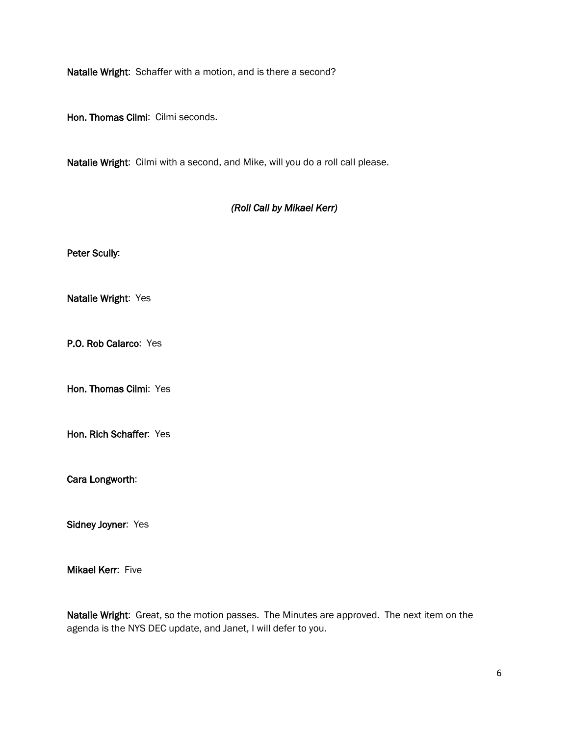Natalie Wright: Schaffer with a motion, and is there a second?

Hon. Thomas Cilmi: Cilmi seconds.

Natalie Wright: Cilmi with a second, and Mike, will you do a roll call please.

# *(Roll Call by Mikael Kerr)*

Peter Scully:

Natalie Wright: Yes

P.O. Rob Calarco: Yes

Hon. Thomas Cilmi: Yes

Hon. Rich Schaffer: Yes

Cara Longworth:

Sidney Joyner: Yes

**Mikael Kerr: Five** 

Natalie Wright: Great, so the motion passes. The Minutes are approved. The next item on the agenda is the NYS DEC update, and Janet, I will defer to you.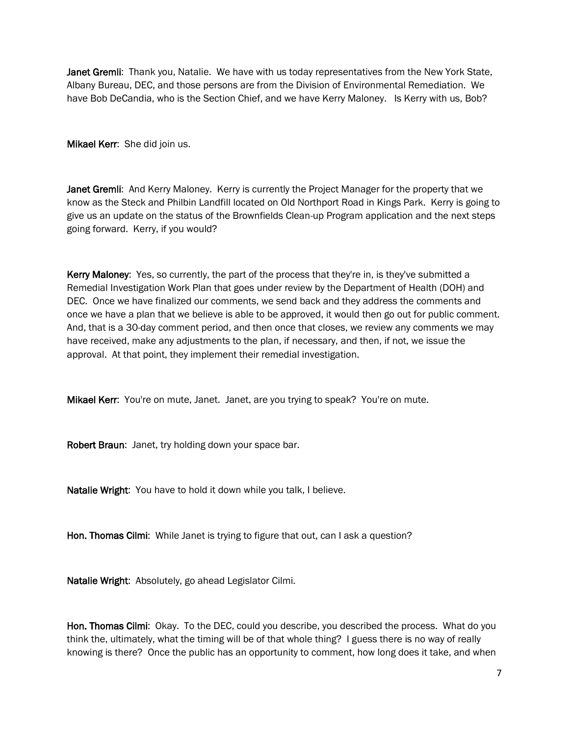Janet Gremli: Thank you, Natalie. We have with us today representatives from the New York State, Albany Bureau, DEC, and those persons are from the Division of Environmental Remediation. We have Bob DeCandia, who is the Section Chief, and we have Kerry Maloney. Is Kerry with us, Bob?

Mikael Kerr: She did join us.

Janet Gremli: And Kerry Maloney. Kerry is currently the Project Manager for the property that we know as the Steck and Philbin Landfill located on Old Northport Road in Kings Park. Kerry is going to give us an update on the status of the Brownfields Clean-up Program application and the next steps going forward. Kerry, if you would?

Kerry Maloney: Yes, so currently, the part of the process that they're in, is they've submitted a Remedial Investigation Work Plan that goes under review by the Department of Health (DOH) and DEC. Once we have finalized our comments, we send back and they address the comments and once we have a plan that we believe is able to be approved, it would then go out for public comment. And, that is a 30-day comment period, and then once that closes, we review any comments we may have received, make any adjustments to the plan, if necessary, and then, if not, we issue the approval. At that point, they implement their remedial investigation.

Mikael Kerr: You're on mute, Janet. Janet, are you trying to speak? You're on mute.

Robert Braun: Janet, try holding down your space bar.

Natalie Wright: You have to hold it down while you talk, I believe.

Hon. Thomas Cilmi: While Janet is trying to figure that out, can I ask a question?

Natalie Wright: Absolutely, go ahead Legislator Cilmi.

Hon. Thomas Cilmi: Okay. To the DEC, could you describe, you described the process. What do you think the, ultimately, what the timing will be of that whole thing? I guess there is no way of really knowing is there? Once the public has an opportunity to comment, how long does it take, and when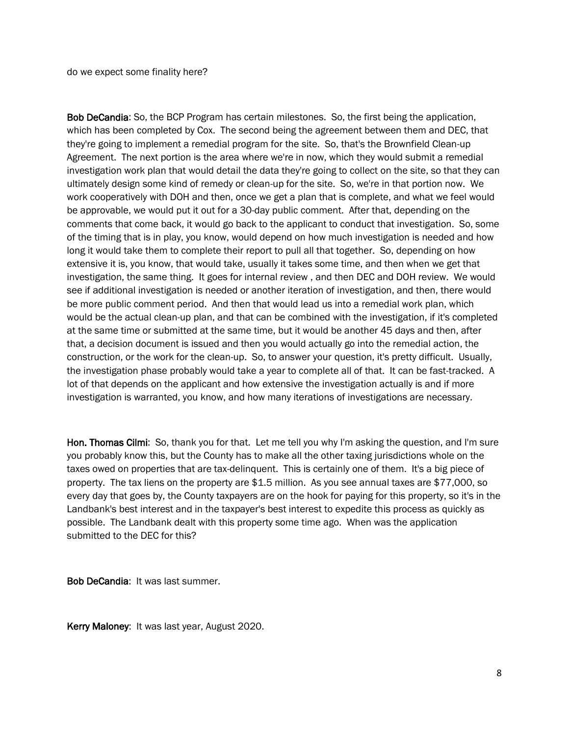do we expect some finality here?

Bob DeCandia: So, the BCP Program has certain milestones. So, the first being the application, which has been completed by Cox. The second being the agreement between them and DEC, that they're going to implement a remedial program for the site. So, that's the Brownfield Clean-up Agreement. The next portion is the area where we're in now, which they would submit a remedial investigation work plan that would detail the data they're going to collect on the site, so that they can ultimately design some kind of remedy or clean-up for the site. So, we're in that portion now. We work cooperatively with DOH and then, once we get a plan that is complete, and what we feel would be approvable, we would put it out for a 30-day public comment. After that, depending on the comments that come back, it would go back to the applicant to conduct that investigation. So, some of the timing that is in play, you know, would depend on how much investigation is needed and how long it would take them to complete their report to pull all that together. So, depending on how extensive it is, you know, that would take, usually it takes some time, and then when we get that investigation, the same thing. It goes for internal review , and then DEC and DOH review. We would see if additional investigation is needed or another iteration of investigation, and then, there would be more public comment period. And then that would lead us into a remedial work plan, which would be the actual clean-up plan, and that can be combined with the investigation, if it's completed at the same time or submitted at the same time, but it would be another 45 days and then, after that, a decision document is issued and then you would actually go into the remedial action, the construction, or the work for the clean-up. So, to answer your question, it's pretty difficult. Usually, the investigation phase probably would take a year to complete all of that. It can be fast-tracked. A lot of that depends on the applicant and how extensive the investigation actually is and if more investigation is warranted, you know, and how many iterations of investigations are necessary.

Hon. Thomas Cilmi: So, thank you for that. Let me tell you why I'm asking the question, and I'm sure you probably know this, but the County has to make all the other taxing jurisdictions whole on the taxes owed on properties that are tax-delinquent. This is certainly one of them. It's a big piece of property. The tax liens on the property are \$1.5 million. As you see annual taxes are \$77,000, so every day that goes by, the County taxpayers are on the hook for paying for this property, so it's in the Landbank's best interest and in the taxpayer's best interest to expedite this process as quickly as possible. The Landbank dealt with this property some time ago. When was the application submitted to the DEC for this?

Bob DeCandia: It was last summer.

Kerry Maloney: It was last year, August 2020.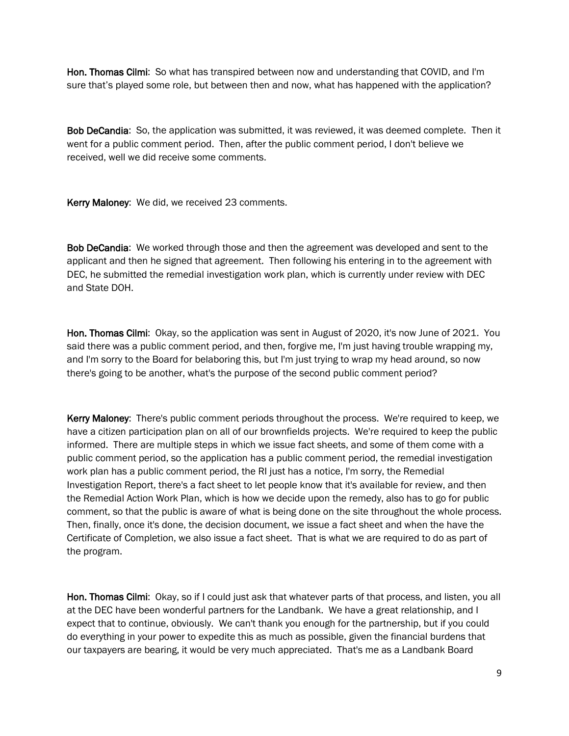Hon. Thomas Cilmi: So what has transpired between now and understanding that COVID, and I'm sure that's played some role, but between then and now, what has happened with the application?

Bob DeCandia: So, the application was submitted, it was reviewed, it was deemed complete. Then it went for a public comment period. Then, after the public comment period, I don't believe we received, well we did receive some comments.

Kerry Maloney: We did, we received 23 comments.

Bob DeCandia: We worked through those and then the agreement was developed and sent to the applicant and then he signed that agreement. Then following his entering in to the agreement with DEC, he submitted the remedial investigation work plan, which is currently under review with DEC and State DOH.

Hon. Thomas Cilmi: Okay, so the application was sent in August of 2020, it's now June of 2021. You said there was a public comment period, and then, forgive me, I'm just having trouble wrapping my, and I'm sorry to the Board for belaboring this, but I'm just trying to wrap my head around, so now there's going to be another, what's the purpose of the second public comment period?

Kerry Maloney: There's public comment periods throughout the process. We're required to keep, we have a citizen participation plan on all of our brownfields projects. We're required to keep the public informed. There are multiple steps in which we issue fact sheets, and some of them come with a public comment period, so the application has a public comment period, the remedial investigation work plan has a public comment period, the RI just has a notice, I'm sorry, the Remedial Investigation Report, there's a fact sheet to let people know that it's available for review, and then the Remedial Action Work Plan, which is how we decide upon the remedy, also has to go for public comment, so that the public is aware of what is being done on the site throughout the whole process. Then, finally, once it's done, the decision document, we issue a fact sheet and when the have the Certificate of Completion, we also issue a fact sheet. That is what we are required to do as part of the program.

Hon. Thomas Cilmi: Okay, so if I could just ask that whatever parts of that process, and listen, you all at the DEC have been wonderful partners for the Landbank. We have a great relationship, and I expect that to continue, obviously. We can't thank you enough for the partnership, but if you could do everything in your power to expedite this as much as possible, given the financial burdens that our taxpayers are bearing, it would be very much appreciated. That's me as a Landbank Board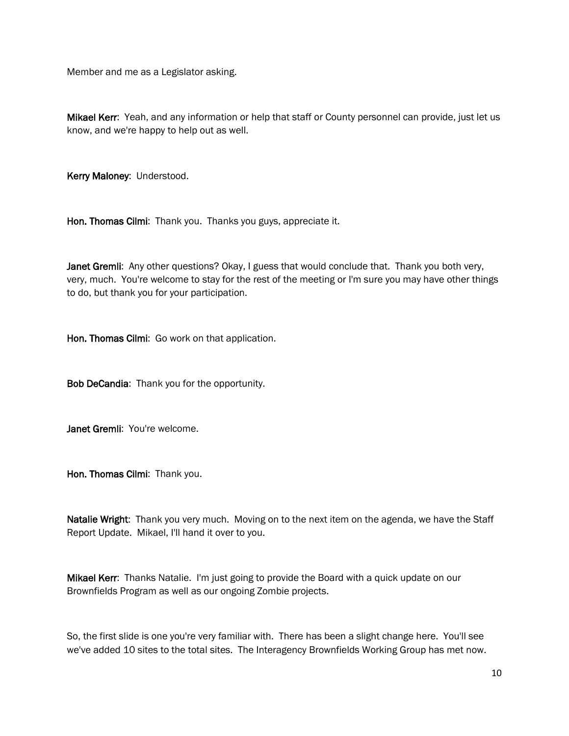Member and me as a Legislator asking.

Mikael Kerr: Yeah, and any information or help that staff or County personnel can provide, just let us know, and we're happy to help out as well.

Kerry Maloney: Understood.

Hon. Thomas Cilmi: Thank you. Thanks you guys, appreciate it.

Janet Gremli: Any other questions? Okay, I guess that would conclude that. Thank you both very, very, much. You're welcome to stay for the rest of the meeting or I'm sure you may have other things to do, but thank you for your participation.

Hon. Thomas Cilmi: Go work on that application.

Bob DeCandia: Thank you for the opportunity.

Janet Gremli: You're welcome.

Hon. Thomas Cilmi: Thank you.

Natalie Wright: Thank you very much. Moving on to the next item on the agenda, we have the Staff Report Update. Mikael, I'll hand it over to you.

Mikael Kerr: Thanks Natalie. I'm just going to provide the Board with a quick update on our Brownfields Program as well as our ongoing Zombie projects.

So, the first slide is one you're very familiar with. There has been a slight change here. You'll see we've added 10 sites to the total sites. The Interagency Brownfields Working Group has met now.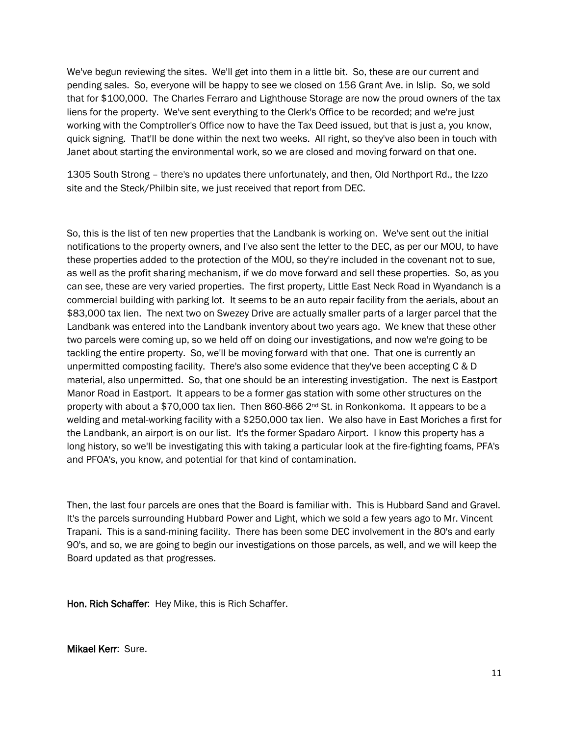We've begun reviewing the sites. We'll get into them in a little bit. So, these are our current and pending sales. So, everyone will be happy to see we closed on 156 Grant Ave. in Islip. So, we sold that for \$100,000. The Charles Ferraro and Lighthouse Storage are now the proud owners of the tax liens for the property. We've sent everything to the Clerk's Office to be recorded; and we're just working with the Comptroller's Office now to have the Tax Deed issued, but that is just a, you know, quick signing. That'll be done within the next two weeks. All right, so they've also been in touch with Janet about starting the environmental work, so we are closed and moving forward on that one.

1305 South Strong – there's no updates there unfortunately, and then, Old Northport Rd., the Izzo site and the Steck/Philbin site, we just received that report from DEC.

So, this is the list of ten new properties that the Landbank is working on. We've sent out the initial notifications to the property owners, and I've also sent the letter to the DEC, as per our MOU, to have these properties added to the protection of the MOU, so they're included in the covenant not to sue, as well as the profit sharing mechanism, if we do move forward and sell these properties. So, as you can see, these are very varied properties. The first property, Little East Neck Road in Wyandanch is a commercial building with parking lot. It seems to be an auto repair facility from the aerials, about an \$83,000 tax lien. The next two on Swezey Drive are actually smaller parts of a larger parcel that the Landbank was entered into the Landbank inventory about two years ago. We knew that these other two parcels were coming up, so we held off on doing our investigations, and now we're going to be tackling the entire property. So, we'll be moving forward with that one. That one is currently an unpermitted composting facility. There's also some evidence that they've been accepting C & D material, also unpermitted. So, that one should be an interesting investigation. The next is Eastport Manor Road in Eastport. It appears to be a former gas station with some other structures on the property with about a \$70,000 tax lien. Then 860-866  $2^{nd}$  St. in Ronkonkoma. It appears to be a welding and metal-working facility with a \$250,000 tax lien. We also have in East Moriches a first for the Landbank, an airport is on our list. It's the former Spadaro Airport. I know this property has a long history, so we'll be investigating this with taking a particular look at the fire-fighting foams, PFA's and PFOA's, you know, and potential for that kind of contamination.

Then, the last four parcels are ones that the Board is familiar with. This is Hubbard Sand and Gravel. It's the parcels surrounding Hubbard Power and Light, which we sold a few years ago to Mr. Vincent Trapani. This is a sand-mining facility. There has been some DEC involvement in the 80's and early 90's, and so, we are going to begin our investigations on those parcels, as well, and we will keep the Board updated as that progresses.

Hon. Rich Schaffer: Hey Mike, this is Rich Schaffer.

Mikael Kerr: Sure.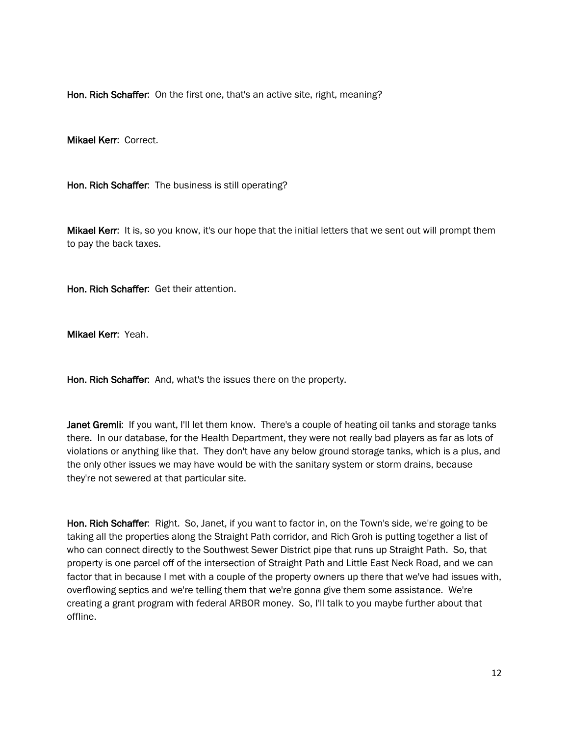Hon. Rich Schaffer: On the first one, that's an active site, right, meaning?

Mikael Kerr: Correct.

Hon. Rich Schaffer: The business is still operating?

Mikael Kerr: It is, so you know, it's our hope that the initial letters that we sent out will prompt them to pay the back taxes.

Hon. Rich Schaffer: Get their attention.

Mikael Kerr: Yeah.

Hon. Rich Schaffer: And, what's the issues there on the property.

Janet Gremli: If you want, I'll let them know. There's a couple of heating oil tanks and storage tanks there. In our database, for the Health Department, they were not really bad players as far as lots of violations or anything like that. They don't have any below ground storage tanks, which is a plus, and the only other issues we may have would be with the sanitary system or storm drains, because they're not sewered at that particular site.

Hon. Rich Schaffer: Right. So, Janet, if you want to factor in, on the Town's side, we're going to be taking all the properties along the Straight Path corridor, and Rich Groh is putting together a list of who can connect directly to the Southwest Sewer District pipe that runs up Straight Path. So, that property is one parcel off of the intersection of Straight Path and Little East Neck Road, and we can factor that in because I met with a couple of the property owners up there that we've had issues with, overflowing septics and we're telling them that we're gonna give them some assistance. We're creating a grant program with federal ARBOR money. So, I'll talk to you maybe further about that offline.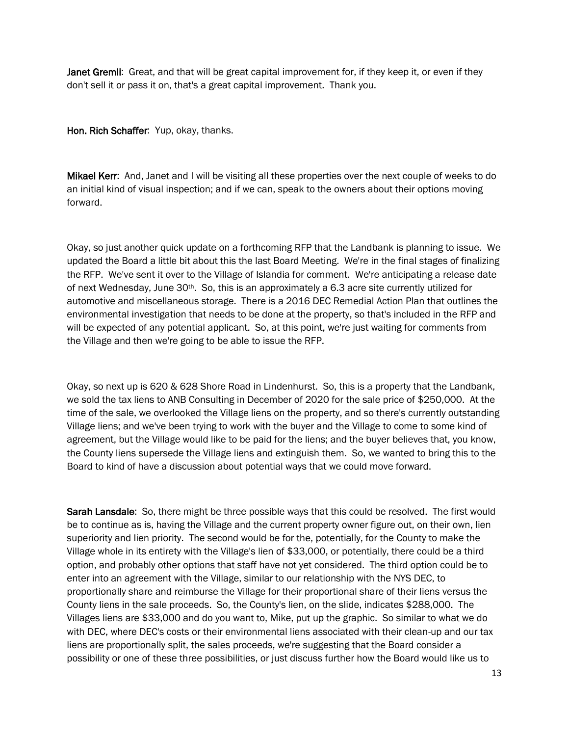Janet Gremli: Great, and that will be great capital improvement for, if they keep it, or even if they don't sell it or pass it on, that's a great capital improvement. Thank you.

Hon. Rich Schaffer: Yup, okay, thanks.

Mikael Kerr: And, Janet and I will be visiting all these properties over the next couple of weeks to do an initial kind of visual inspection; and if we can, speak to the owners about their options moving forward.

Okay, so just another quick update on a forthcoming RFP that the Landbank is planning to issue. We updated the Board a little bit about this the last Board Meeting. We're in the final stages of finalizing the RFP. We've sent it over to the Village of Islandia for comment. We're anticipating a release date of next Wednesday, June 30th. So, this is an approximately a 6.3 acre site currently utilized for automotive and miscellaneous storage. There is a 2016 DEC Remedial Action Plan that outlines the environmental investigation that needs to be done at the property, so that's included in the RFP and will be expected of any potential applicant. So, at this point, we're just waiting for comments from the Village and then we're going to be able to issue the RFP.

Okay, so next up is 620 & 628 Shore Road in Lindenhurst. So, this is a property that the Landbank, we sold the tax liens to ANB Consulting in December of 2020 for the sale price of \$250,000. At the time of the sale, we overlooked the Village liens on the property, and so there's currently outstanding Village liens; and we've been trying to work with the buyer and the Village to come to some kind of agreement, but the Village would like to be paid for the liens; and the buyer believes that, you know, the County liens supersede the Village liens and extinguish them. So, we wanted to bring this to the Board to kind of have a discussion about potential ways that we could move forward.

Sarah Lansdale: So, there might be three possible ways that this could be resolved. The first would be to continue as is, having the Village and the current property owner figure out, on their own, lien superiority and lien priority. The second would be for the, potentially, for the County to make the Village whole in its entirety with the Village's lien of \$33,000, or potentially, there could be a third option, and probably other options that staff have not yet considered. The third option could be to enter into an agreement with the Village, similar to our relationship with the NYS DEC, to proportionally share and reimburse the Village for their proportional share of their liens versus the County liens in the sale proceeds. So, the County's lien, on the slide, indicates \$288,000. The Villages liens are \$33,000 and do you want to, Mike, put up the graphic. So similar to what we do with DEC, where DEC's costs or their environmental liens associated with their clean-up and our tax liens are proportionally split, the sales proceeds, we're suggesting that the Board consider a possibility or one of these three possibilities, or just discuss further how the Board would like us to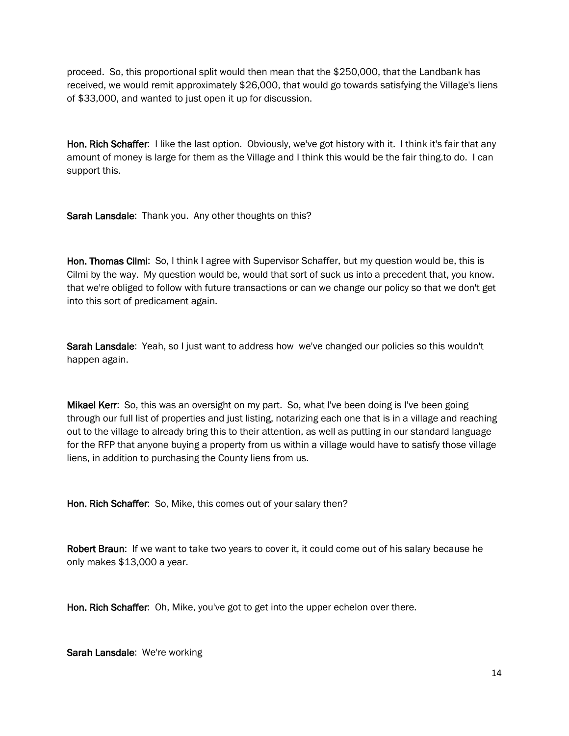proceed. So, this proportional split would then mean that the \$250,000, that the Landbank has received, we would remit approximately \$26,000, that would go towards satisfying the Village's liens of \$33,000, and wanted to just open it up for discussion.

Hon. Rich Schaffer: I like the last option. Obviously, we've got history with it. I think it's fair that any amount of money is large for them as the Village and I think this would be the fair thing.to do. I can support this.

Sarah Lansdale: Thank you. Any other thoughts on this?

Hon. Thomas Cilmi: So, I think I agree with Supervisor Schaffer, but my question would be, this is Cilmi by the way. My question would be, would that sort of suck us into a precedent that, you know. that we're obliged to follow with future transactions or can we change our policy so that we don't get into this sort of predicament again.

Sarah Lansdale: Yeah, so I just want to address how we've changed our policies so this wouldn't happen again.

**Mikael Kerr**: So, this was an oversight on my part. So, what I've been doing is I've been going through our full list of properties and just listing, notarizing each one that is in a village and reaching out to the village to already bring this to their attention, as well as putting in our standard language for the RFP that anyone buying a property from us within a village would have to satisfy those village liens, in addition to purchasing the County liens from us.

Hon. Rich Schaffer: So, Mike, this comes out of your salary then?

Robert Braun: If we want to take two years to cover it, it could come out of his salary because he only makes \$13,000 a year.

Hon. Rich Schaffer: Oh, Mike, you've got to get into the upper echelon over there.

Sarah Lansdale: We're working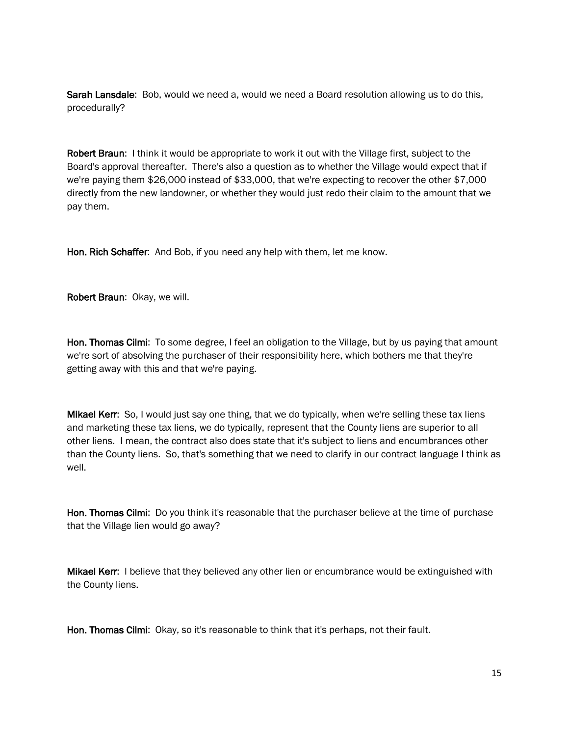Sarah Lansdale: Bob, would we need a, would we need a Board resolution allowing us to do this, procedurally?

Robert Braun: I think it would be appropriate to work it out with the Village first, subject to the Board's approval thereafter. There's also a question as to whether the Village would expect that if we're paying them \$26,000 instead of \$33,000, that we're expecting to recover the other \$7,000 directly from the new landowner, or whether they would just redo their claim to the amount that we pay them.

Hon. Rich Schaffer: And Bob, if you need any help with them, let me know.

Robert Braun: Okay, we will.

Hon. Thomas Cilmi: To some degree, I feel an obligation to the Village, but by us paying that amount we're sort of absolving the purchaser of their responsibility here, which bothers me that they're getting away with this and that we're paying.

Mikael Kerr: So, I would just say one thing, that we do typically, when we're selling these tax liens and marketing these tax liens, we do typically, represent that the County liens are superior to all other liens. I mean, the contract also does state that it's subject to liens and encumbrances other than the County liens. So, that's something that we need to clarify in our contract language I think as well.

Hon. Thomas Cilmi: Do you think it's reasonable that the purchaser believe at the time of purchase that the Village lien would go away?

Mikael Kerr: I believe that they believed any other lien or encumbrance would be extinguished with the County liens.

Hon. Thomas Cilmi: Okay, so it's reasonable to think that it's perhaps, not their fault.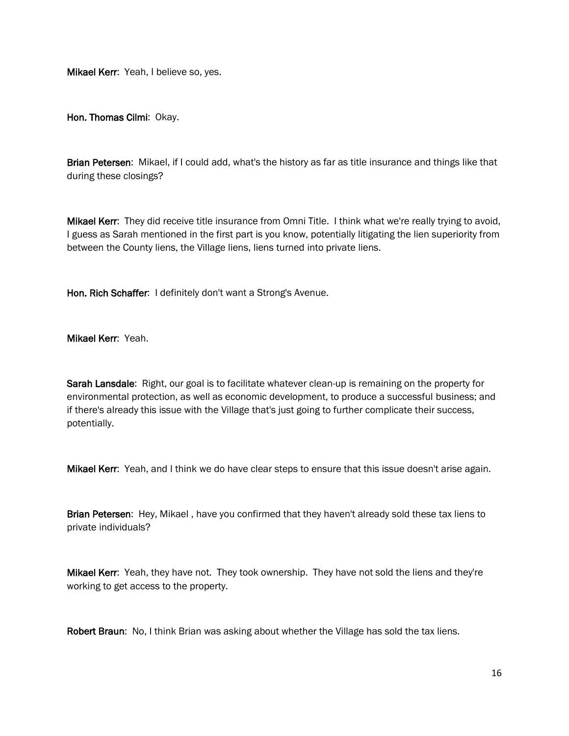Mikael Kerr: Yeah, I believe so, yes.

Hon. Thomas Cilmi: Okay.

Brian Petersen: Mikael, if I could add, what's the history as far as title insurance and things like that during these closings?

Mikael Kerr: They did receive title insurance from Omni Title. I think what we're really trying to avoid, I guess as Sarah mentioned in the first part is you know, potentially litigating the lien superiority from between the County liens, the Village liens, liens turned into private liens.

Hon. Rich Schaffer: I definitely don't want a Strong's Avenue.

Mikael Kerr: Yeah.

Sarah Lansdale: Right, our goal is to facilitate whatever clean-up is remaining on the property for environmental protection, as well as economic development, to produce a successful business; and if there's already this issue with the Village that's just going to further complicate their success, potentially.

**Mikael Kerr:** Yeah, and I think we do have clear steps to ensure that this issue doesn't arise again.

Brian Petersen: Hey, Mikael, have you confirmed that they haven't already sold these tax liens to private individuals?

Mikael Kerr: Yeah, they have not. They took ownership. They have not sold the liens and they're working to get access to the property.

Robert Braun: No, I think Brian was asking about whether the Village has sold the tax liens.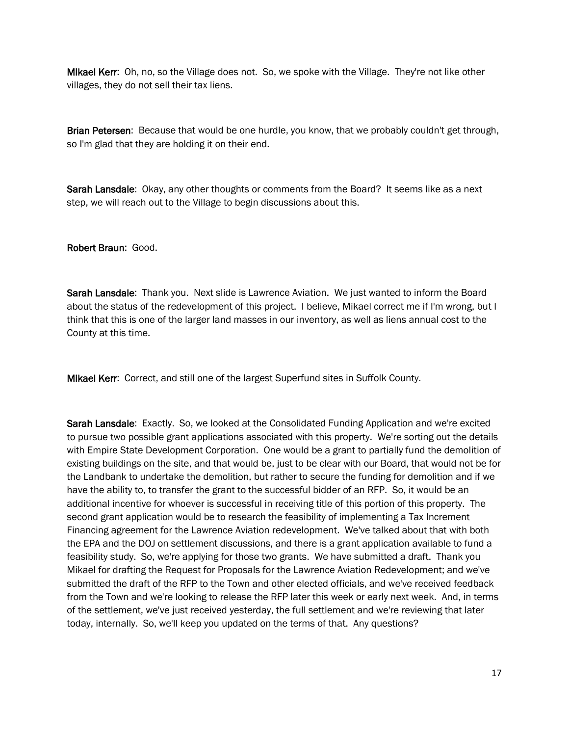Mikael Kerr: Oh, no, so the Village does not. So, we spoke with the Village. They're not like other villages, they do not sell their tax liens.

Brian Petersen: Because that would be one hurdle, you know, that we probably couldn't get through, so I'm glad that they are holding it on their end.

Sarah Lansdale: Okay, any other thoughts or comments from the Board? It seems like as a next step, we will reach out to the Village to begin discussions about this.

Robert Braun: Good.

Sarah Lansdale: Thank you. Next slide is Lawrence Aviation. We just wanted to inform the Board about the status of the redevelopment of this project. I believe, Mikael correct me if I'm wrong, but I think that this is one of the larger land masses in our inventory, as well as liens annual cost to the County at this time.

Mikael Kerr: Correct, and still one of the largest Superfund sites in Suffolk County.

Sarah Lansdale: Exactly. So, we looked at the Consolidated Funding Application and we're excited to pursue two possible grant applications associated with this property. We're sorting out the details with Empire State Development Corporation. One would be a grant to partially fund the demolition of existing buildings on the site, and that would be, just to be clear with our Board, that would not be for the Landbank to undertake the demolition, but rather to secure the funding for demolition and if we have the ability to, to transfer the grant to the successful bidder of an RFP. So, it would be an additional incentive for whoever is successful in receiving title of this portion of this property. The second grant application would be to research the feasibility of implementing a Tax Increment Financing agreement for the Lawrence Aviation redevelopment. We've talked about that with both the EPA and the DOJ on settlement discussions, and there is a grant application available to fund a feasibility study. So, we're applying for those two grants. We have submitted a draft. Thank you Mikael for drafting the Request for Proposals for the Lawrence Aviation Redevelopment; and we've submitted the draft of the RFP to the Town and other elected officials, and we've received feedback from the Town and we're looking to release the RFP later this week or early next week. And, in terms of the settlement, we've just received yesterday, the full settlement and we're reviewing that later today, internally. So, we'll keep you updated on the terms of that. Any questions?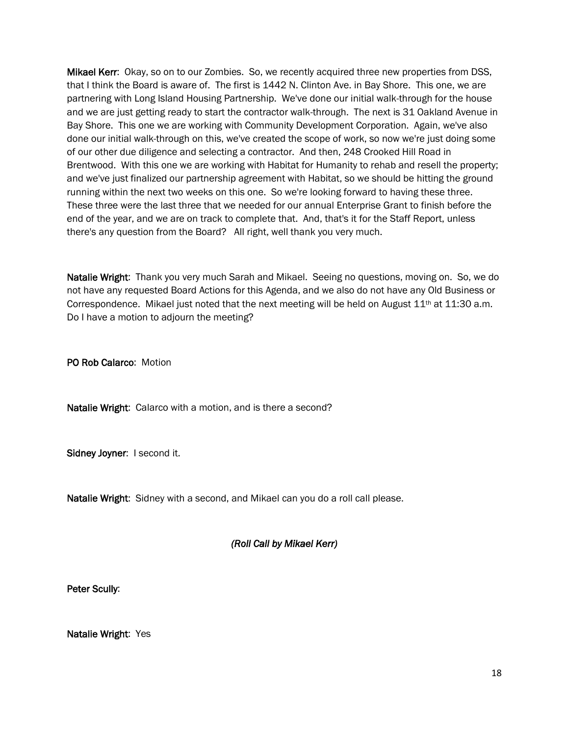Mikael Kerr: Okay, so on to our Zombies. So, we recently acquired three new properties from DSS, that I think the Board is aware of. The first is 1442 N. Clinton Ave. in Bay Shore. This one, we are partnering with Long Island Housing Partnership. We've done our initial walk-through for the house and we are just getting ready to start the contractor walk-through. The next is 31 Oakland Avenue in Bay Shore. This one we are working with Community Development Corporation. Again, we've also done our initial walk-through on this, we've created the scope of work, so now we're just doing some of our other due diligence and selecting a contractor. And then, 248 Crooked Hill Road in Brentwood. With this one we are working with Habitat for Humanity to rehab and resell the property; and we've just finalized our partnership agreement with Habitat, so we should be hitting the ground running within the next two weeks on this one. So we're looking forward to having these three. These three were the last three that we needed for our annual Enterprise Grant to finish before the end of the year, and we are on track to complete that. And, that's it for the Staff Report, unless there's any question from the Board? All right, well thank you very much.

Natalie Wright: Thank you very much Sarah and Mikael. Seeing no questions, moving on. So, we do not have any requested Board Actions for this Agenda, and we also do not have any Old Business or Correspondence. Mikael just noted that the next meeting will be held on August  $11<sup>th</sup>$  at  $11:30$  a.m. Do I have a motion to adjourn the meeting?

PO Rob Calarco: Motion

Natalie Wright: Calarco with a motion, and is there a second?

Sidney Joyner: I second it.

Natalie Wright: Sidney with a second, and Mikael can you do a roll call please.

# *(Roll Call by Mikael Kerr)*

Peter Scully:

Natalie Wright: Yes